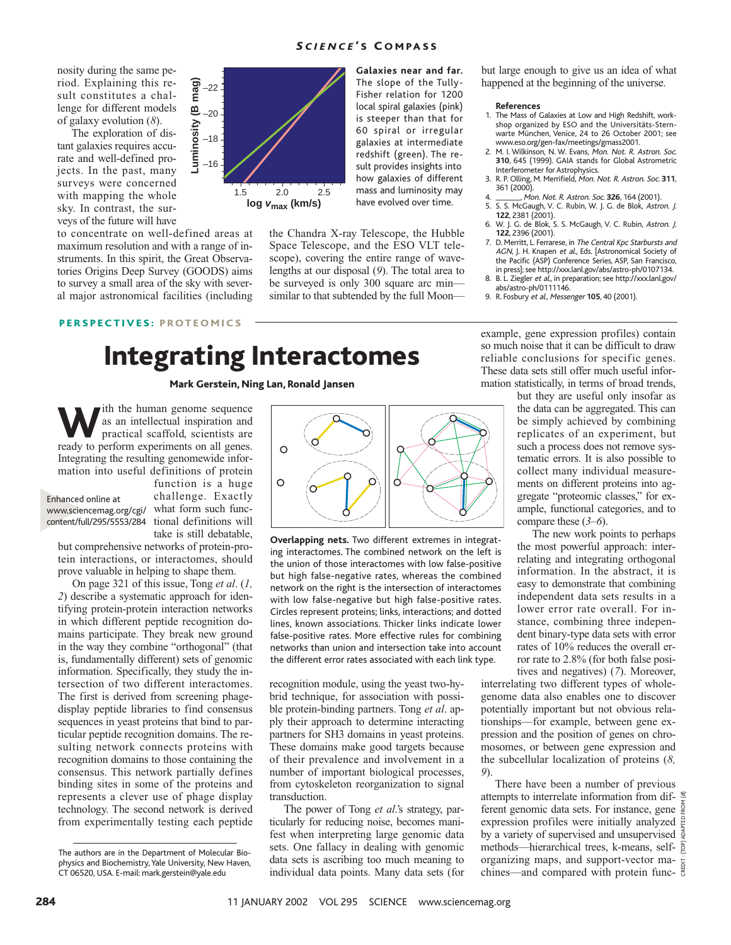local spiral galaxies (pink) is steeper than that for 60 spiral or irregular galaxies at intermediate redshift (green). The result provides insights into how galaxies of different mass and luminosity may have evolved over time.

**Galaxies near and far.** The slope of the Tully-Fisher relation for 1200

the Chandra X-ray Telescope, the Hubble Space Telescope, and the ESO VLT telescope), covering the entire range of wavelengths at our disposal (*9*). The total area to be surveyed is only 300 square arc min similar to that subtended by the full Moon—

but large enough to give us an idea of what happened at the beginning of the universe.

#### **References**

- 1. The Mass of Galaxies at Low and High Redshift, workshop organized by ESO and the Universitäts-Sternwarte München, Venice, 24 to 26 October 2001; see www.eso.org/gen-fax/meetings/gmass2001.
- 2. M. I. Wilkinson, N. W. Evans, Mon. Not. R. Astron. Soc. **310**, 645 (1999). GAIA stands for Global Astrometric Interferometer for Astrophysics.
- 3. R. P. Olling, M. Merrifield, Mon. Not. R. Astron. Soc. **311**, 361 (2000).<br>Mon. Not. R. Astron. Soc. **326**, 164 (2001).
- 4. ———, Mon. Not. R. Astron. Soc. **326**, 164 (2001). 5. S. S. McGaugh, V. C. Rubin, W. J. G. de Blok, Astron. J. **122**, 2381 (2001).
- 6. W. J. G. de Blok, S. S. McGaugh, V. C. Rubin, Astron. J. **122**, 2396 (2001).
- 7. D. Merritt, L. Ferrarese, in The Central Kpc Starbursts and AGN, J. H. Knapen et al., Eds. [Astronomical Society of the Pacific (ASP) Conference Series, ASP, San Francisco, in press]; see http://xxx.lanl.gov/abs/astro-ph/0107134.
- 8. B. L. Ziegler et al., in preparation; see http://xxx.lanl.gov/ abs/astro-ph/0111146.
- 9. R. Fosbury et al., Messenger **105**, 40 (2001).

 $-22<sup>2</sup>$ 

 $\begin{array}{c}\n\text{Luminosity} \\
\begin{array}{c}\n\text{Luminosity} \\
\text{-20} \\
\text{-10} \\
\text{-10}\n\end{array}\n\end{array}$ –18

**Luminosity (B mag)**

mag)

–16

# Integrating Interactomes

1.5 2.0 2.5 **log vmax (km/s)**

Mark Gerstein, Ning Lan, Ronald Jansen

**W** is an intellectual inspiration and practical scaffold, scientists are ready to perform experiments on all genes as an intellectual inspiration and ready to perform experiments on all genes. Integrating the resulting genomewide information into useful definitions of protein

to concentrate on well-defined areas at maximum resolution and with a range of instruments. In this spirit, the Great Observatories Origins Deep Survey (GOODS) aims to survey a small area of the sky with several major astronomical facilities (including

PERSPECTIVES: PROTEOMICS

nosity during the same period. Explaining this result constitutes a challenge for different models of galaxy evolution (*8*). The exploration of distant galaxies requires accurate and well-defined projects. In the past, many surveys were concerned with mapping the whole sky. In contrast, the surveys of the future will have

Enhanced online at

function is a huge challenge. Exactly www.sciencemag.org/cgi/ what form such funccontent/full/295/5553/284 tional definitions will take is still debatable,

but comprehensive networks of protein-protein interactions, or interactomes, should prove valuable in helping to shape them.

On page 321 of this issue, Tong *et al*. (*1, 2*) describe a systematic approach for identifying protein-protein interaction networks in which different peptide recognition domains participate. They break new ground in the way they combine "orthogonal" (that is, fundamentally different) sets of genomic information. Specifically, they study the intersection of two different interactomes. The first is derived from screening phagedisplay peptide libraries to find consensus sequences in yeast proteins that bind to particular peptide recognition domains. The resulting network connects proteins with recognition domains to those containing the consensus. This network partially defines binding sites in some of the proteins and represents a clever use of phage display technology. The second network is derived from experimentally testing each peptide



**Overlapping nets.** Two different extremes in integrating interactomes. The combined network on the left is the union of those interactomes with low false-positive but high false-negative rates, whereas the combined network on the right is the intersection of interactomes with low false-negative but high false-positive rates. Circles represent proteins; links, interactions; and dotted lines, known associations. Thicker links indicate lower false-positive rates. More effective rules for combining networks than union and intersection take into account the different error rates associated with each link type.

recognition module, using the yeast two-hybrid technique, for association with possible protein-binding partners. Tong *et al*. apply their approach to determine interacting partners for SH3 domains in yeast proteins. These domains make good targets because of their prevalence and involvement in a number of important biological processes, from cytoskeleton reorganization to signal transduction.

The power of Tong *et al*.'s strategy, particularly for reducing noise, becomes manifest when interpreting large genomic data sets. One fallacy in dealing with genomic data sets is ascribing too much meaning to individual data points. Many data sets (for example, gene expression profiles) contain so much noise that it can be difficult to draw reliable conclusions for specific genes. These data sets still offer much useful information statistically, in terms of broad trends,

but they are useful only insofar as the data can be aggregated. This can be simply achieved by combining replicates of an experiment, but such a process does not remove systematic errors. It is also possible to collect many individual measurements on different proteins into aggregate "proteomic classes," for example, functional categories, and to compare these (*3–6*).

The new work points to perhaps the most powerful approach: interrelating and integrating orthogonal information. In the abstract, it is easy to demonstrate that combining independent data sets results in a lower error rate overall. For instance, combining three independent binary-type data sets with error rates of 10% reduces the overall error rate to 2.8% (for both false positives and negatives) (*7*). Moreover,

interrelating two different types of wholegenome data also enables one to discover potentially important but not obvious relationships—for example, between gene expression and the position of genes on chromosomes, or between gene expression and the subcellular localization of proteins (*8, 9*).

CREDIT : (TOP) ADAPTED FROM (8) There have been a number of previous attempts to interrelate information from dif- $\frac{2}{5}$ ferent genomic data sets. For instance, gene  $\frac{5}{6}$ expression profiles were initially analyzed  $\frac{\alpha}{r}$ by a variety of supervised and unsupervised  $\frac{5}{3}$ methods—hierarchical trees, k-means, selforganizing maps, and support-vector machines—and compared with protein func-

### **SCIENCE'S COMPASS**

The authors are in the Department of Molecular Biophysics and Biochemistry, Yale University, New Haven, CT 06520, USA. E-mail: mark.gerstein@yale.edu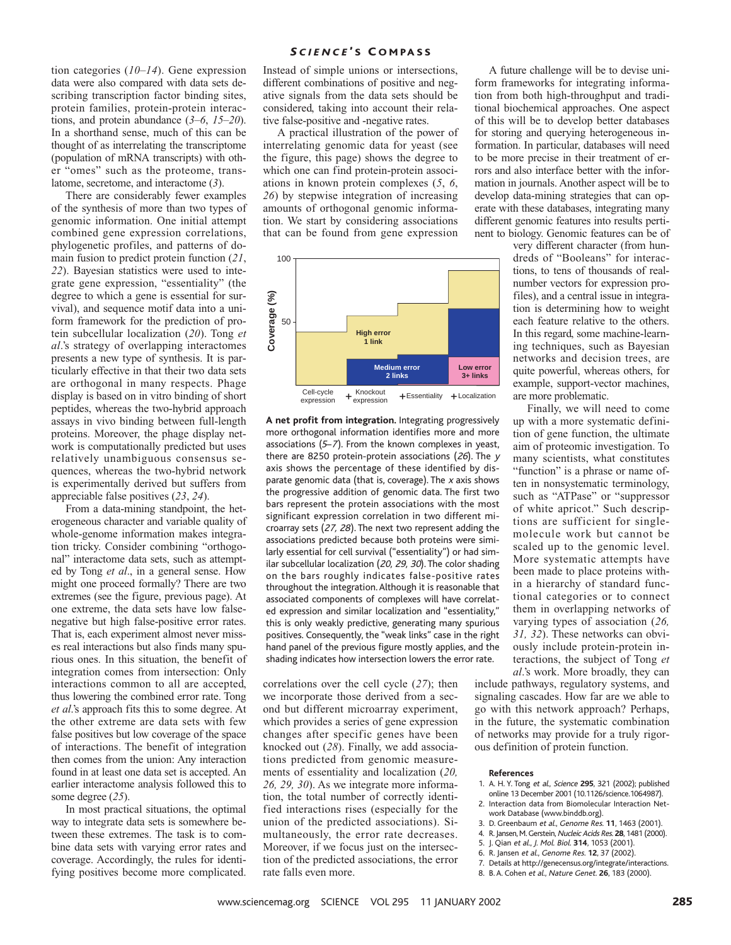tion categories (*10–14*). Gene expression data were also compared with data sets describing transcription factor binding sites, protein families, protein-protein interactions, and protein abundance (*3–6*, *15–20*). In a shorthand sense, much of this can be thought of as interrelating the transcriptome (population of mRNA transcripts) with other "omes" such as the proteome, translatome, secretome, and interactome (*3*).

There are considerably fewer examples of the synthesis of more than two types of genomic information. One initial attempt combined gene expression correlations, phylogenetic profiles, and patterns of domain fusion to predict protein function (*21*, *22*). Bayesian statistics were used to integrate gene expression, "essentiality" (the degree to which a gene is essential for survival), and sequence motif data into a uniform framework for the prediction of protein subcellular localization (*20*). Tong *et al*.'s strategy of overlapping interactomes presents a new type of synthesis. It is particularly effective in that their two data sets are orthogonal in many respects. Phage display is based on in vitro binding of short peptides, whereas the two-hybrid approach assays in vivo binding between full-length proteins. Moreover, the phage display network is computationally predicted but uses relatively unambiguous consensus sequences, whereas the two-hybrid network is experimentally derived but suffers from appreciable false positives (*23*, *24*).

From a data-mining standpoint, the heterogeneous character and variable quality of whole-genome information makes integration tricky. Consider combining "orthogonal" interactome data sets, such as attempted by Tong *et al*., in a general sense. How might one proceed formally? There are two extremes (see the figure, previous page). At one extreme, the data sets have low falsenegative but high false-positive error rates. That is, each experiment almost never misses real interactions but also finds many spurious ones. In this situation, the benefit of integration comes from intersection: Only interactions common to all are accepted, thus lowering the combined error rate. Tong *et al*.'s approach fits this to some degree. At the other extreme are data sets with few false positives but low coverage of the space of interactions. The benefit of integration then comes from the union: Any interaction found in at least one data set is accepted. An earlier interactome analysis followed this to some degree (*25*).

In most practical situations, the optimal way to integrate data sets is somewhere between these extremes. The task is to combine data sets with varying error rates and coverage. Accordingly, the rules for identifying positives become more complicated.

Instead of simple unions or intersections, different combinations of positive and negative signals from the data sets should be considered, taking into account their relative false-positive and -negative rates.

A practical illustration of the power of interrelating genomic data for yeast (see the figure, this page) shows the degree to which one can find protein-protein associations in known protein complexes (*5*, *6*, *26*) by stepwise integration of increasing amounts of orthogonal genomic information. We start by considering associations that can be found from gene expression



**A net profit from integration.** Integrating progressively more orthogonal information identifies more and more associations (5–7). From the known complexes in yeast, there are 8250 protein-protein associations (26). The y axis shows the percentage of these identified by disparate genomic data (that is, coverage). The  $x$  axis shows the progressive addition of genomic data. The first two bars represent the protein associations with the most significant expression correlation in two different microarray sets (27, 28). The next two represent adding the associations predicted because both proteins were similarly essential for cell survival ("essentiality") or had similar subcellular localization (20, 29, 30). The color shading on the bars roughly indicates false-positive rates throughout the integration. Although it is reasonable that associated components of complexes will have correlated expression and similar localization and "essentiality," this is only weakly predictive, generating many spurious positives. Consequently, the "weak links" case in the right hand panel of the previous figure mostly applies, and the shading indicates how intersection lowers the error rate.

correlations over the cell cycle (*27*); then we incorporate those derived from a second but different microarray experiment, which provides a series of gene expression changes after specific genes have been knocked out (*28*). Finally, we add associations predicted from genomic measurements of essentiality and localization (*20, 26, 29, 30*). As we integrate more information, the total number of correctly identified interactions rises (especially for the union of the predicted associations). Simultaneously, the error rate decreases. Moreover, if we focus just on the intersection of the predicted associations, the error rate falls even more.

A future challenge will be to devise uniform frameworks for integrating information from both high-throughput and traditional biochemical approaches. One aspect of this will be to develop better databases for storing and querying heterogeneous information. In particular, databases will need to be more precise in their treatment of errors and also interface better with the information in journals. Another aspect will be to develop data-mining strategies that can operate with these databases, integrating many different genomic features into results pertinent to biology. Genomic features can be of

> very different character (from hundreds of "Booleans" for interactions, to tens of thousands of realnumber vectors for expression profiles), and a central issue in integration is determining how to weight each feature relative to the others. In this regard, some machine-learning techniques, such as Bayesian networks and decision trees, are quite powerful, whereas others, for example, support-vector machines, are more problematic.

> Finally, we will need to come up with a more systematic definition of gene function, the ultimate aim of proteomic investigation. To many scientists, what constitutes "function" is a phrase or name often in nonsystematic terminology, such as "ATPase" or "suppressor of white apricot." Such descriptions are sufficient for singlemolecule work but cannot be scaled up to the genomic level. More systematic attempts have been made to place proteins within a hierarchy of standard functional categories or to connect them in overlapping networks of varying types of association (*26, 31, 32*). These networks can obviously include protein-protein interactions, the subject of Tong *et al*.'s work. More broadly, they can

include pathways, regulatory systems, and signaling cascades. How far are we able to go with this network approach? Perhaps, in the future, the systematic combination of networks may provide for a truly rigorous definition of protein function.

#### **References**

- 1. A. H. Y. Tong et al., Science **295**, 321 (2002); published online 13 December 2001 (10.1126/science.1064987).
- 2. Interaction data from Biomolecular Interaction Network Database (www.binddb.org).
- 3. D. Greenbaum et al., Genome Res. **11**, 1463 (2001).
- 4. R. Jansen, M. Gerstein,Nucleic Acids Res. **28**, 1481 (2000).
- 5. J. Qian et al., J. Mol. Biol. **314**, 1053 (2001).
- 6. R. Jansen et al., Genome Res. **12**, 37 (2002).
- 7. Details at http://genecensus.org/integrate/interactions.
- 8. B. A. Cohen et al., Nature Genet. **26**, 183 (2000).